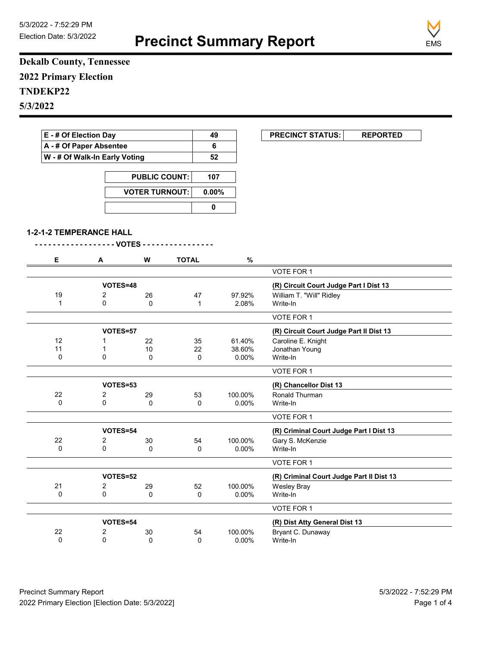**Precinct Summary Report**



**Dekalb County, Tennessee 2022 Primary Election TNDEKP22 5/3/2022**

| E - # Of Election Day         |                                              |                       |              | 49           | <b>PRECINCT STATUS:</b>                 | <b>REPORTED</b> |
|-------------------------------|----------------------------------------------|-----------------------|--------------|--------------|-----------------------------------------|-----------------|
|                               | A - # Of Paper Absentee                      |                       |              | 6            |                                         |                 |
| W - # Of Walk-In Early Voting |                                              |                       |              | 52           |                                         |                 |
|                               | <b>PUBLIC COUNT:</b>                         |                       |              | 107          |                                         |                 |
|                               |                                              | <b>VOTER TURNOUT:</b> |              | 0.00%        |                                         |                 |
|                               |                                              |                       |              | $\mathbf{0}$ |                                         |                 |
|                               | 1-2-1-2 TEMPERANCE HALL<br>- - - - - VOTES - |                       |              |              |                                         |                 |
| Е                             | A                                            | W                     | <b>TOTAL</b> | $\%$         |                                         |                 |
|                               |                                              |                       |              |              | VOTE FOR 1                              |                 |
|                               | VOTES=48                                     |                       |              |              | (R) Circuit Court Judge Part I Dist 13  |                 |
| 19                            | 2                                            | 26                    | 47           | 97.92%       | William T. "Will" Ridley                |                 |
| $\mathbf{1}$                  | $\Omega$                                     | $\Omega$              | $\mathbf{1}$ | 2.08%        | Write-In                                |                 |
|                               |                                              |                       |              |              | VOTE FOR 1                              |                 |
|                               | VOTES=57                                     |                       |              |              | (R) Circuit Court Judge Part II Dist 13 |                 |
| 12                            | 1                                            | 22                    | 35           | 61.40%       | Caroline E. Knight                      |                 |
| 11                            | 1                                            | 10                    | 22           | 38.60%       | Jonathan Young                          |                 |
| $\mathbf 0$                   | $\mathbf 0$                                  | $\Omega$              | 0            | 0.00%        | Write-In                                |                 |
|                               |                                              |                       |              |              | VOTE FOR 1                              |                 |
|                               | VOTES=53                                     |                       |              |              | (R) Chancellor Dist 13                  |                 |
| 22                            | 2                                            | 29                    | 53           | 100.00%      | Ronald Thurman                          |                 |
| $\mathbf 0$                   | $\Omega$                                     | 0                     | 0            | 0.00%        | Write-In                                |                 |
|                               |                                              |                       |              |              | VOTE FOR 1                              |                 |
|                               | VOTES=54                                     |                       |              |              | (R) Criminal Court Judge Part I Dist 13 |                 |
| 22                            | $\overline{2}$                               | 30                    | 54           | 100.00%      | Gary S. McKenzie                        |                 |
| $\mathbf{0}$                  | 0                                            | $\Omega$              | 0            | 0.00%        | Write-In                                |                 |
|                               |                                              |                       |              |              |                                         |                 |
|                               |                                              |                       |              |              | VOTE FOR 1                              |                 |

|         | VULES=54        |    |         |                     | (R) Criminal Court Judge Part II Dist 13 |  |
|---------|-----------------|----|---------|---------------------|------------------------------------------|--|
| 21<br>0 |                 | 29 | 52<br>0 | 100.00%<br>$0.00\%$ | <b>Wesley Bray</b><br>Write-In           |  |
|         |                 |    |         |                     | VOTE FOR 1                               |  |
|         |                 |    |         |                     |                                          |  |
|         | <b>VOTES=54</b> |    |         |                     | (R) Dist Atty General Dist 13            |  |
| 22      |                 | 30 | 54      | 100.00%             | Bryant C. Dunaway                        |  |
|         |                 |    | 0       | $0.00\%$            | Write-In                                 |  |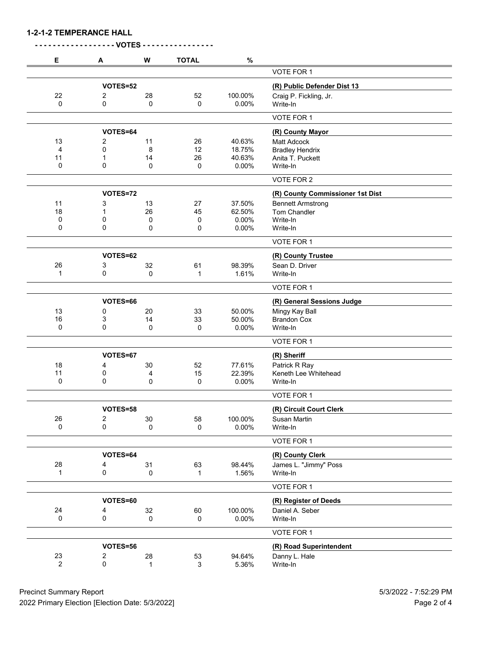**1-2-1-2 TEMPERANCE HALL**

| Е              | А           | W       | <b>TOTAL</b> | $\%$             |                                  |
|----------------|-------------|---------|--------------|------------------|----------------------------------|
|                |             |         |              |                  | VOTE FOR 1                       |
|                | VOTES=52    |         |              |                  | (R) Public Defender Dist 13      |
| 22             | 2           | 28      | 52           | 100.00%          | Craig P. Fickling, Jr.           |
| 0              | 0           | 0       | 0            | 0.00%            | Write-In                         |
|                |             |         |              |                  | VOTE FOR 1                       |
|                | VOTES=64    |         |              |                  |                                  |
|                |             |         |              |                  | (R) County Mayor                 |
| 13             | 2           | 11      | 26           | 40.63%           | <b>Matt Adcock</b>               |
| 4              | 0           | 8       | 12           | 18.75%           | <b>Bradley Hendrix</b>           |
| 11<br>0        | 1<br>0      | 14      | 26           | 40.63%           | Anita T. Puckett                 |
|                |             | 0       | 0            | 0.00%            | Write-In                         |
|                |             |         |              |                  | VOTE FOR 2                       |
|                | VOTES=72    |         |              |                  | (R) County Commissioner 1st Dist |
| 11             | 3           | 13      | 27           | 37.50%           | <b>Bennett Armstrong</b>         |
| 18             | 1           | 26      | 45           | 62.50%           | Tom Chandler                     |
| 0              | 0           | 0       | 0            | 0.00%            | Write-In                         |
| 0              | 0           | 0       | 0            | 0.00%            | Write-In                         |
|                |             |         |              |                  | VOTE FOR 1                       |
|                | VOTES=62    |         |              |                  | (R) County Trustee               |
| 26             | 3           | 32      | 61           | 98.39%           | Sean D. Driver                   |
| $\mathbf{1}$   | 0           | 0       | 1            | 1.61%            | Write-In                         |
|                |             |         |              |                  | VOTE FOR 1                       |
|                | VOTES=66    |         |              |                  | (R) General Sessions Judge       |
| 13             | 0           | 20      | 33           | 50.00%           | Mingy Kay Ball                   |
| 16             | 3           | 14      | 33           | 50.00%           | <b>Brandon Cox</b>               |
| $\mathbf 0$    | $\mathbf 0$ | 0       | 0            | 0.00%            | Write-In                         |
|                |             |         |              |                  | VOTE FOR 1                       |
|                | VOTES=67    |         |              |                  | (R) Sheriff                      |
| 18             | 4           | 30      | 52           | 77.61%           | Patrick R Ray                    |
| 11             | 0           | 4       | 15           | 22.39%           | Keneth Lee Whitehead             |
| 0              | 0           | 0       | 0            | 0.00%            | Write-In                         |
|                |             |         |              |                  | VOTE FOR 1                       |
|                | VOTES=58    |         |              |                  | (R) Circuit Court Clerk          |
| 26             | 2           | 30      | 58           | 100.00%          | Susan Martin                     |
| 0              | 0           | 0       | 0            | $0.00\%$         | Write-In                         |
|                |             |         |              |                  | VOTE FOR 1                       |
|                | VOTES=64    |         |              |                  | (R) County Clerk                 |
| 28             | 4           | 31      | 63           | 98.44%           | James L. "Jimmy" Poss            |
| 1              | 0           | 0       | 1            | 1.56%            | Write-In                         |
|                |             |         |              |                  | VOTE FOR 1                       |
|                | VOTES=60    |         |              |                  | (R) Register of Deeds            |
| 24             |             |         |              |                  |                                  |
| $\mathsf 0$    | 4<br>0      | 32<br>0 | 60<br>0      | 100.00%<br>0.00% | Daniel A. Seber<br>Write-In      |
|                |             |         |              |                  |                                  |
|                |             |         |              |                  | VOTE FOR 1                       |
|                | VOTES=56    |         |              |                  | (R) Road Superintendent          |
| 23             | 2           | 28      | 53           | 94.64%           | Danny L. Hale                    |
| $\overline{2}$ | 0           | 1       | 3            | 5.36%            | Write-In                         |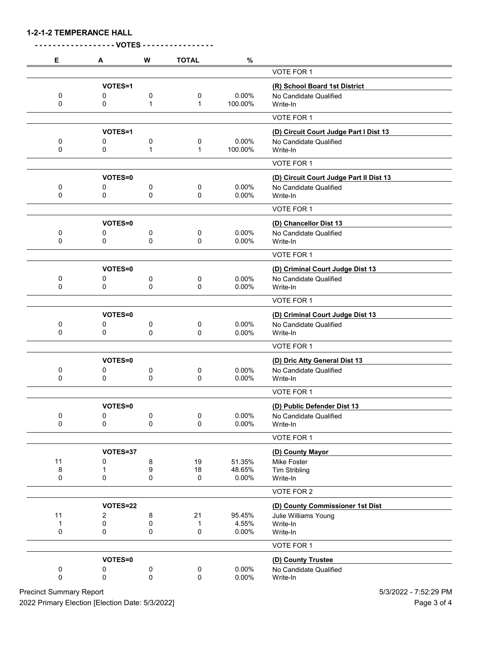## **1-2-1-2 TEMPERANCE HALL**

| Е           | A        | W            | <b>TOTAL</b> | $\%$     |                                         |
|-------------|----------|--------------|--------------|----------|-----------------------------------------|
|             |          |              |              |          | VOTE FOR 1                              |
|             | VOTES=1  |              |              |          | (R) School Board 1st District           |
| 0           | 0        | 0            | 0            | 0.00%    | No Candidate Qualified                  |
| 0           | 0        | $\mathbf{1}$ | 1            | 100.00%  | Write-In                                |
|             |          |              |              |          | VOTE FOR 1                              |
|             | VOTES=1  |              |              |          | (D) Circuit Court Judge Part I Dist 13  |
| 0           | 0        | 0            | 0            | 0.00%    | No Candidate Qualified                  |
| 0           | 0        | 1            | 1            | 100.00%  | Write-In                                |
|             |          |              |              |          | VOTE FOR 1                              |
|             | VOTES=0  |              |              |          | (D) Circuit Court Judge Part II Dist 13 |
| 0           | 0        | 0            | 0            | 0.00%    | No Candidate Qualified                  |
| 0           | 0        | 0            | 0            | 0.00%    | Write-In                                |
|             |          |              |              |          | VOTE FOR 1                              |
|             | VOTES=0  |              |              |          | (D) Chancellor Dist 13                  |
| 0           | 0        | 0            | 0            | 0.00%    | No Candidate Qualified                  |
| $\mathbf 0$ | 0        | 0            | 0            | 0.00%    | Write-In                                |
|             |          |              |              |          | <b>VOTE FOR 1</b>                       |
|             | VOTES=0  |              |              |          | (D) Criminal Court Judge Dist 13        |
| 0           | 0        | 0            | 0            | 0.00%    | No Candidate Qualified                  |
| 0           | 0        | 0            | $\mathbf 0$  | 0.00%    | Write-In                                |
|             |          |              |              |          | VOTE FOR 1                              |
|             | VOTES=0  |              |              |          | (D) Criminal Court Judge Dist 13        |
| 0           | 0        | 0            | 0            | 0.00%    | No Candidate Qualified                  |
| 0           | 0        | 0            | 0            | 0.00%    | Write-In                                |
|             |          |              |              |          | VOTE FOR 1                              |
|             | VOTES=0  |              |              |          | (D) Dric Atty General Dist 13           |
| 0           | 0        | 0            | 0            | 0.00%    | No Candidate Qualified                  |
| 0           | 0        | 0            | 0            | 0.00%    | Write-In                                |
|             |          |              |              |          | VOTE FOR 1                              |
|             | VOTES=0  |              |              |          | (D) Public Defender Dist 13             |
| 0           | 0        | 0            | 0            | 0.00%    | No Candidate Qualified                  |
| 0           | 0        | 0            | $\mathbf 0$  | $0.00\%$ | Write-In                                |
|             |          |              |              |          | VOTE FOR 1                              |
|             | VOTES=37 |              |              |          | (D) County Mayor                        |
| 11          | 0        | 8            | 19           | 51.35%   | Mike Foster                             |
| 8           | 1        | 9            | 18           | 48.65%   | <b>Tim Stribling</b>                    |
| 0           | 0        | 0            | 0            | 0.00%    | Write-In                                |
|             |          |              |              |          | VOTE FOR 2                              |
|             | VOTES=22 |              |              |          | (D) County Commissioner 1st Dist        |
| 11          | 2        | 8            | 21           | 95.45%   | Julie Williams Young                    |
| 1           | 0        | 0            | 1            | 4.55%    | Write-In                                |
| 0           | 0        | 0            | 0            | 0.00%    | Write-In                                |
|             |          |              |              |          | VOTE FOR 1                              |
|             | VOTES=0  |              |              |          | (D) County Trustee                      |
| $\pmb{0}$   | 0        | 0            | 0            | 0.00%    | No Candidate Qualified                  |
| 0           | 0        | 0            | 0            | 0.00%    | Write-In                                |